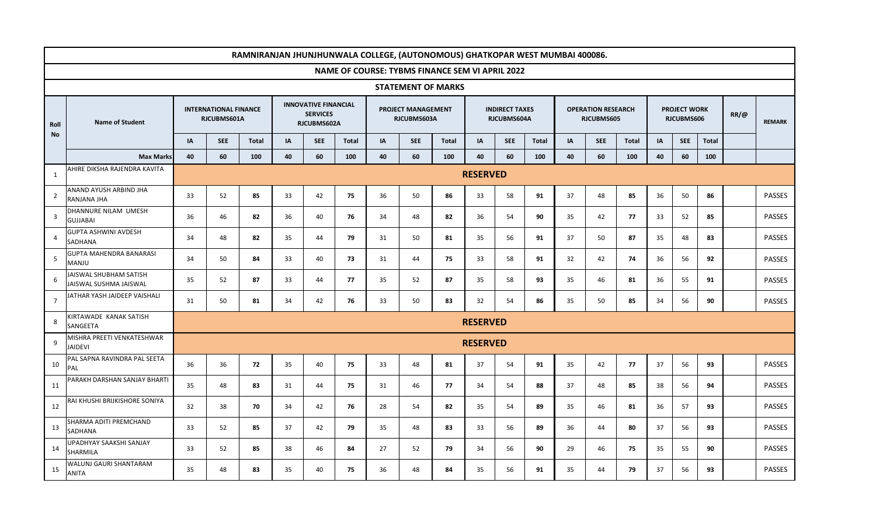|                   | RAMNIRANJAN JHUNJHUNWALA COLLEGE, (AUTONOMOUS) GHATKOPAR WEST MUMBAI 400086. |                 |                                             |              |    |                                                               |              |    |                                          |                           |                 |                                      |              |    |                                         |       |    |                                   |       |             |               |
|-------------------|------------------------------------------------------------------------------|-----------------|---------------------------------------------|--------------|----|---------------------------------------------------------------|--------------|----|------------------------------------------|---------------------------|-----------------|--------------------------------------|--------------|----|-----------------------------------------|-------|----|-----------------------------------|-------|-------------|---------------|
|                   | <b>NAME OF COURSE: TYBMS FINANCE SEM VI APRIL 2022</b>                       |                 |                                             |              |    |                                                               |              |    |                                          |                           |                 |                                      |              |    |                                         |       |    |                                   |       |             |               |
|                   |                                                                              |                 |                                             |              |    |                                                               |              |    |                                          | <b>STATEMENT OF MARKS</b> |                 |                                      |              |    |                                         |       |    |                                   |       |             |               |
| Roll<br><b>No</b> | <b>Name of Student</b>                                                       |                 | <b>INTERNATIONAL FINANCE</b><br>RJCUBMS601A |              |    | <b>INNOVATIVE FINANCIAL</b><br><b>SERVICES</b><br>RJCUBMS602A |              |    | <b>PROJECT MANAGEMENT</b><br>RJCUBMS603A |                           |                 | <b>INDIRECT TAXES</b><br>RJCUBMS604A |              |    | <b>OPERATION RESEARCH</b><br>RJCUBMS605 |       |    | <b>PROJECT WORK</b><br>RJCUBMS606 |       | $RR/\omega$ | <b>REMARK</b> |
|                   |                                                                              | IA              | <b>SEE</b>                                  | <b>Total</b> | IA | <b>SEE</b>                                                    | <b>Total</b> | IA | <b>SEE</b>                               | <b>Total</b>              | <b>IA</b>       | <b>SEE</b>                           | <b>Total</b> | IA | <b>SEE</b>                              | Total | IA | <b>SEE</b>                        | Total |             |               |
|                   | <b>Max Marks</b>                                                             | 40              | 60                                          | 100          | 40 | 60                                                            | 100          | 40 | 60                                       | 100                       | 40              | 60                                   | 100          | 40 | 60                                      | 100   | 40 | 60                                | 100   |             |               |
| 1                 | AHIRE DIKSHA RAJENDRA KAVITA                                                 | <b>RESERVED</b> |                                             |              |    |                                                               |              |    |                                          |                           |                 |                                      |              |    |                                         |       |    |                                   |       |             |               |
| $\overline{2}$    | ANAND AYUSH ARBIND JHA<br>RANJANA JHA                                        | 33              | 52                                          | 85           | 33 | 42                                                            | 75           | 36 | 50                                       | 86                        | 33              | 58                                   | 91           | 37 | 48                                      | 85    | 36 | 50                                | 86    |             | <b>PASSES</b> |
| $\overline{3}$    | DHANNURE NILAM UMESH<br><b>GUJJABAI</b>                                      | 36              | 46                                          | 82           | 36 | 40                                                            | 76           | 34 | 48                                       | 82                        | 36              | 54                                   | 90           | 35 | 42                                      | 77    | 33 | 52                                | 85    |             | <b>PASSES</b> |
| $\overline{a}$    | <b>GUPTA ASHWINI AVDESH</b><br>SADHANA                                       | 34              | 48                                          | 82           | 35 | 44                                                            | 79           | 31 | 50                                       | 81                        | 35              | 56                                   | 91           | 37 | 50                                      | 87    | 35 | 48                                | 83    |             | <b>PASSES</b> |
| 5                 | GUPTA MAHENDRA BANARASI<br><b>MANJU</b>                                      | 34              | 50                                          | 84           | 33 | 40                                                            | 73           | 31 | 44                                       | 75                        | 33              | 58                                   | 91           | 32 | 42                                      | 74    | 36 | 56                                | 92    |             | <b>PASSES</b> |
| 6                 | AISWAL SHUBHAM SATISH<br>JAISWAL SUSHMA JAISWAL                              | 35              | 52                                          | 87           | 33 | 44                                                            | 77           | 35 | 52                                       | 87                        | 35              | 58                                   | 93           | 35 | 46                                      | 81    | 36 | 55                                | 91    |             | <b>PASSES</b> |
| $\overline{7}$    | JATHAR YASH JAIDEEP VAISHALI                                                 | 31              | 50                                          | 81           | 34 | 42                                                            | 76           | 33 | 50                                       | 83                        | 32              | 54                                   | 86           | 35 | 50                                      | 85    | 34 | 56                                | 90    |             | <b>PASSES</b> |
| 8                 | <b>(IRTAWADE KANAK SATISH</b><br>SANGEETA                                    |                 |                                             |              |    |                                                               |              |    |                                          |                           | <b>RESERVED</b> |                                      |              |    |                                         |       |    |                                   |       |             |               |
| 9                 | MISHRA PREETI VENKATESHWAR<br><b>JAIDEVI</b>                                 |                 |                                             |              |    |                                                               |              |    |                                          |                           | <b>RESERVED</b> |                                      |              |    |                                         |       |    |                                   |       |             |               |
| 10                | PAL SAPNA RAVINDRA PAL SEETA<br>PAL                                          | 36              | 36                                          | 72           | 35 | 40                                                            | 75           | 33 | 48                                       | 81                        | 37              | 54                                   | 91           | 35 | 42                                      | 77    | 37 | 56                                | 93    |             | PASSES        |
| 11                | PARAKH DARSHAN SANJAY BHARTI                                                 | 35              | 48                                          | 83           | 31 | 44                                                            | 75           | 31 | 46                                       | 77                        | 34              | 54                                   | 88           | 37 | 48                                      | 85    | 38 | 56                                | 94    |             | <b>PASSES</b> |
| 12                | RAI KHUSHI BRIJKISHORE SONIYA                                                | 32              | 38                                          | 70           | 34 | 42                                                            | 76           | 28 | 54                                       | 82                        | 35              | 54                                   | 89           | 35 | 46                                      | 81    | 36 | 57                                | 93    |             | <b>PASSES</b> |
| 13                | SHARMA ADITI PREMCHAND<br>SADHANA                                            | 33              | 52                                          | 85           | 37 | 42                                                            | 79           | 35 | 48                                       | 83                        | 33              | 56                                   | 89           | 36 | 44                                      | 80    | 37 | 56                                | 93    |             | <b>PASSES</b> |
| 14                | UPADHYAY SAAKSHI SANJAY<br>SHARMILA                                          | 33              | 52                                          | 85           | 38 | 46                                                            | 84           | 27 | 52                                       | 79                        | 34              | 56                                   | 90           | 29 | 46                                      | 75    | 35 | 55                                | 90    |             | <b>PASSES</b> |
| 15                | WALUNJ GAURI SHANTARAM<br>ANITA                                              | 35              | 48                                          | 83           | 35 | 40                                                            | 75           | 36 | 48                                       | 84                        | 35              | 56                                   | 91           | 35 | 44                                      | 79    | 37 | 56                                | 93    |             | <b>PASSES</b> |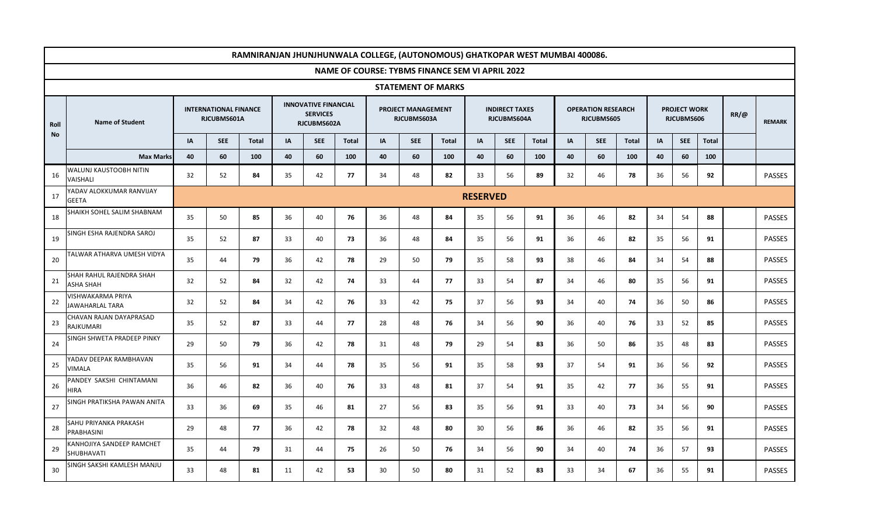|            | RAMNIRANJAN JHUNJHUNWALA COLLEGE, (AUTONOMOUS) GHATKOPAR WEST MUMBAI 400086. |    |                                             |              |                                                               |            |              |    |                                   |                                                        |    |                                      |              |    |                                         |              |    |                                   |              |             |               |
|------------|------------------------------------------------------------------------------|----|---------------------------------------------|--------------|---------------------------------------------------------------|------------|--------------|----|-----------------------------------|--------------------------------------------------------|----|--------------------------------------|--------------|----|-----------------------------------------|--------------|----|-----------------------------------|--------------|-------------|---------------|
|            |                                                                              |    |                                             |              |                                                               |            |              |    |                                   | <b>NAME OF COURSE: TYBMS FINANCE SEM VI APRIL 2022</b> |    |                                      |              |    |                                         |              |    |                                   |              |             |               |
|            |                                                                              |    |                                             |              |                                                               |            |              |    |                                   | <b>STATEMENT OF MARKS</b>                              |    |                                      |              |    |                                         |              |    |                                   |              |             |               |
| Roll<br>No | <b>Name of Student</b>                                                       |    | <b>INTERNATIONAL FINANCE</b><br>RJCUBMS601A |              | <b>INNOVATIVE FINANCIAL</b><br><b>SERVICES</b><br>RJCUBMS602A |            |              |    | PROJECT MANAGEMENT<br>RJCUBMS603A |                                                        |    | <b>INDIRECT TAXES</b><br>RJCUBMS604A |              |    | <b>OPERATION RESEARCH</b><br>RJCUBMS605 |              |    | <b>PROJECT WORK</b><br>RJCUBMS606 |              | $RR/\omega$ | <b>REMARK</b> |
|            |                                                                              | IA | <b>SEE</b>                                  | <b>Total</b> | IA                                                            | <b>SEE</b> | <b>Total</b> | IA | <b>SEE</b>                        | Total                                                  | IA | <b>SEE</b>                           | <b>Total</b> | IA | <b>SEE</b>                              | <b>Total</b> | IA | <b>SEE</b>                        | <b>Total</b> |             |               |
|            | <b>Max Marks</b>                                                             | 40 | 60                                          | 100          | 40                                                            | 60         | 100          | 40 | 60                                | 100                                                    | 40 | 60                                   | 100          | 40 | 60                                      | 100          | 40 | 60                                | 100          |             |               |
| 16         | WALUNJ KAUSTOOBH NITIN<br>VAISHALI                                           | 32 | 52                                          | 84           | 35                                                            | 42         | 77           | 34 | 48                                | 82                                                     | 33 | 56                                   | 89           | 32 | 46                                      | 78           | 36 | 56                                | 92           |             | <b>PASSES</b> |
| 17         | YADAV ALOKKUMAR RANVIJAY<br><b>GEETA</b>                                     |    | <b>RESERVED</b>                             |              |                                                               |            |              |    |                                   |                                                        |    |                                      |              |    |                                         |              |    |                                   |              |             |               |
| 18         | SHAIKH SOHEL SALIM SHABNAM                                                   | 35 | 50                                          | 85           | 36                                                            | 40         | 76           | 36 | 48                                | 84                                                     | 35 | 56                                   | 91           | 36 | 46                                      | 82           | 34 | 54                                | 88           |             | <b>PASSES</b> |
| 19         | SINGH ESHA RAJENDRA SAROJ                                                    | 35 | 52                                          | 87           | 33                                                            | 40         | 73           | 36 | 48                                | 84                                                     | 35 | 56                                   | 91           | 36 | 46                                      | 82           | 35 | 56                                | 91           |             | <b>PASSES</b> |
| 20         | TALWAR ATHARVA UMESH VIDYA                                                   | 35 | 44                                          | 79           | 36                                                            | 42         | 78           | 29 | 50                                | 79                                                     | 35 | 58                                   | 93           | 38 | 46                                      | 84           | 34 | 54                                | 88           |             | <b>PASSES</b> |
| 21         | SHAH RAHUL RAJENDRA SHAH<br>ASHA SHAH                                        | 32 | 52                                          | 84           | 32                                                            | 42         | 74           | 33 | 44                                | 77                                                     | 33 | 54                                   | 87           | 34 | 46                                      | 80           | 35 | 56                                | 91           |             | <b>PASSES</b> |
| 22         | VISHWAKARMA PRIYA<br>JAWAHARLAL TARA                                         | 32 | 52                                          | 84           | 34                                                            | 42         | 76           | 33 | 42                                | 75                                                     | 37 | 56                                   | 93           | 34 | 40                                      | 74           | 36 | 50                                | 86           |             | <b>PASSES</b> |
| 23         | CHAVAN RAJAN DAYAPRASAD<br>RAJKUMARI                                         | 35 | 52                                          | 87           | 33                                                            | 44         | 77           | 28 | 48                                | 76                                                     | 34 | 56                                   | 90           | 36 | 40                                      | 76           | 33 | 52                                | 85           |             | <b>PASSES</b> |
| 24         | SINGH SHWETA PRADEEP PINKY                                                   | 29 | 50                                          | 79           | 36                                                            | 42         | 78           | 31 | 48                                | 79                                                     | 29 | 54                                   | 83           | 36 | 50                                      | 86           | 35 | 48                                | 83           |             | <b>PASSES</b> |
| 25         | YADAV DEEPAK RAMBHAVAN<br>VIMALA                                             | 35 | 56                                          | 91           | 34                                                            | 44         | 78           | 35 | 56                                | 91                                                     | 35 | 58                                   | 93           | 37 | 54                                      | 91           | 36 | 56                                | 92           |             | <b>PASSES</b> |
| 26         | PANDEY SAKSHI CHINTAMANI<br>HIRA                                             | 36 | 46                                          | 82           | 36                                                            | 40         | 76           | 33 | 48                                | 81                                                     | 37 | 54                                   | 91           | 35 | 42                                      | 77           | 36 | 55                                | 91           |             | <b>PASSES</b> |
| 27         | SINGH PRATIKSHA PAWAN ANITA                                                  | 33 | 36                                          | 69           | 35                                                            | 46         | 81           | 27 | 56                                | 83                                                     | 35 | 56                                   | 91           | 33 | 40                                      | 73           | 34 | 56                                | 90           |             | <b>PASSES</b> |
| 28         | SAHU PRIYANKA PRAKASH<br>PRABHASINI                                          | 29 | 48                                          | 77           | 36                                                            | 42         | 78           | 32 | 48                                | 80                                                     | 30 | 56                                   | 86           | 36 | 46                                      | 82           | 35 | 56                                | 91           |             | <b>PASSES</b> |
| 29         | KANHOJIYA SANDEEP RAMCHET<br>SHUBHAVATI                                      | 35 | 44                                          | 79           | 31                                                            | 44         | 75           | 26 | 50                                | 76                                                     | 34 | 56                                   | 90           | 34 | 40                                      | 74           | 36 | 57                                | 93           |             | PASSES        |
| 30         | SINGH SAKSHI KAMLESH MANJU                                                   | 33 | 48                                          | 81           | 11                                                            | 42         | 53           | 30 | 50                                | 80                                                     | 31 | 52                                   | 83           | 33 | 34                                      | 67           | 36 | 55                                | 91           |             | <b>PASSES</b> |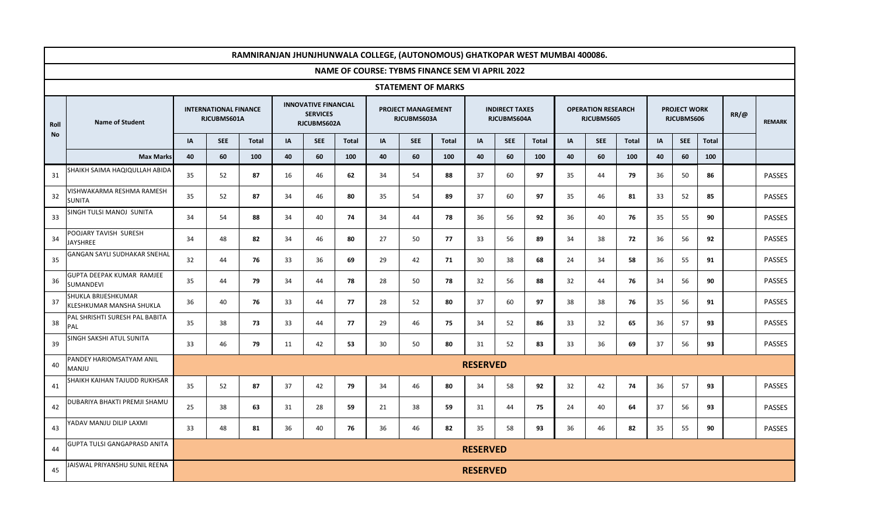|            | RAMNIRANJAN JHUNJHUNWALA COLLEGE, (AUTONOMOUS) GHATKOPAR WEST MUMBAI 400086. |    |                                                                            |              |    |                                |              |    |                                          |                                                 |                                      |            |              |                                         |            |              |    |                                   |              |             |               |
|------------|------------------------------------------------------------------------------|----|----------------------------------------------------------------------------|--------------|----|--------------------------------|--------------|----|------------------------------------------|-------------------------------------------------|--------------------------------------|------------|--------------|-----------------------------------------|------------|--------------|----|-----------------------------------|--------------|-------------|---------------|
|            |                                                                              |    |                                                                            |              |    |                                |              |    |                                          | NAME OF COURSE: TYBMS FINANCE SEM VI APRIL 2022 |                                      |            |              |                                         |            |              |    |                                   |              |             |               |
|            |                                                                              |    |                                                                            |              |    |                                |              |    |                                          | <b>STATEMENT OF MARKS</b>                       |                                      |            |              |                                         |            |              |    |                                   |              |             |               |
| Roll<br>No | <b>Name of Student</b>                                                       |    | <b>INNOVATIVE FINANCIAL</b><br><b>INTERNATIONAL FINANCE</b><br>RJCUBMS601A |              |    | <b>SERVICES</b><br>RJCUBMS602A |              |    | <b>PROJECT MANAGEMENT</b><br>RJCUBMS603A |                                                 | <b>INDIRECT TAXES</b><br>RJCUBMS604A |            |              | <b>OPERATION RESEARCH</b><br>RJCUBMS605 |            |              |    | <b>PROJECT WORK</b><br>RJCUBMS606 |              | $RR/\omega$ | <b>REMARK</b> |
|            |                                                                              | IA | <b>SEE</b>                                                                 | <b>Total</b> | IA | <b>SEE</b>                     | <b>Total</b> | IA | <b>SEE</b>                               | Total                                           | IA                                   | <b>SEE</b> | <b>Total</b> | IA                                      | <b>SEE</b> | <b>Total</b> | IA | <b>SEE</b>                        | <b>Total</b> |             |               |
|            | <b>Max Marks</b>                                                             | 40 | 60                                                                         | 100          | 40 | 60                             | 100          | 40 | 60                                       | 100                                             | 40                                   | 60         | 100          | 40                                      | 60         | 100          | 40 | 60                                | 100          |             |               |
| 31         | SHAIKH SAIMA HAQIQULLAH ABIDA                                                | 35 | 52                                                                         | 87           | 16 | 46                             | 62           | 34 | 54                                       | 88                                              | 37                                   | 60         | 97           | 35                                      | 44         | 79           | 36 | 50                                | 86           |             | PASSES        |
| 32         | VISHWAKARMA RESHMA RAMESH<br>SUNITA                                          | 35 | 52                                                                         | 87           | 34 | 46                             | 80           | 35 | 54                                       | 89                                              | 37                                   | 60         | 97           | 35                                      | 46         | 81           | 33 | 52                                | 85           |             | <b>PASSES</b> |
| 33         | SINGH TULSI MANOJ SUNITA                                                     | 34 | 54                                                                         | 88           | 34 | 40                             | 74           | 34 | 44                                       | 78                                              | 36                                   | 56         | 92           | 36                                      | 40         | 76           | 35 | 55                                | 90           |             | <b>PASSES</b> |
| 34         | POOJARY TAVISH SURESH<br>JAYSHREE                                            | 34 | 48                                                                         | 82           | 34 | 46                             | 80           | 27 | 50                                       | 77                                              | 33                                   | 56         | 89           | 34                                      | 38         | 72           | 36 | 56                                | 92           |             | <b>PASSES</b> |
| 35         | GANGAN SAYLI SUDHAKAR SNEHAL                                                 | 32 | 44                                                                         | 76           | 33 | 36                             | 69           | 29 | 42                                       | 71                                              | 30                                   | 38         | 68           | 24                                      | 34         | 58           | 36 | 55                                | 91           |             | <b>PASSES</b> |
| 36         | GUPTA DEEPAK KUMAR RAMJEE<br>SUMANDEVI                                       | 35 | 44                                                                         | 79           | 34 | 44                             | 78           | 28 | 50                                       | 78                                              | 32                                   | 56         | 88           | 32                                      | 44         | 76           | 34 | 56                                | 90           |             | <b>PASSES</b> |
| 37         | SHUKLA BRIJESHKUMAR<br>KLESHKUMAR MANSHA SHUKLA                              | 36 | 40                                                                         | 76           | 33 | 44                             | 77           | 28 | 52                                       | 80                                              | 37                                   | 60         | 97           | 38                                      | 38         | 76           | 35 | 56                                | 91           |             | <b>PASSES</b> |
| 38         | PAL SHRISHTI SURESH PAL BABITA<br>PAL                                        | 35 | 38                                                                         | 73           | 33 | 44                             | 77           | 29 | 46                                       | 75                                              | 34                                   | 52         | 86           | 33                                      | 32         | 65           | 36 | 57                                | 93           |             | <b>PASSES</b> |
| 39         | SINGH SAKSHI ATUL SUNITA                                                     | 33 | 46                                                                         | 79           | 11 | 42                             | 53           | 30 | 50                                       | 80                                              | 31                                   | 52         | 83           | 33                                      | 36         | 69           | 37 | 56                                | 93           |             | PASSES        |
| 40         | PANDEY HARIOMSATYAM ANIL<br>MANJU                                            |    |                                                                            |              |    |                                |              |    |                                          |                                                 | <b>RESERVED</b>                      |            |              |                                         |            |              |    |                                   |              |             |               |
| 41         | SHAIKH KAIHAN TAJUDD RUKHSAR                                                 | 35 | 52                                                                         | 87           | 37 | 42                             | 79           | 34 | 46                                       | 80                                              | 34                                   | 58         | 92           | 32                                      | 42         | 74           | 36 | 57                                | 93           |             | <b>PASSES</b> |
| 42         | DUBARIYA BHAKTI PREMJI SHAMU                                                 | 25 | 38                                                                         | 63           | 31 | 28                             | 59           | 21 | 38                                       | 59                                              | 31                                   | 44         | 75           | 24                                      | 40         | 64           | 37 | 56                                | 93           |             | <b>PASSES</b> |
| 43         | YADAV MANJU DILIP LAXMI                                                      | 33 | 48                                                                         | 81           | 36 | 40                             | 76           | 36 | 46                                       | 82                                              | 35                                   | 58         | 93           | 36                                      | 46         | 82           | 35 | 55                                | 90           |             | <b>PASSES</b> |
| 44         | GUPTA TULSI GANGAPRASD ANITA                                                 |    |                                                                            |              |    |                                |              |    |                                          |                                                 | <b>RESERVED</b>                      |            |              |                                         |            |              |    |                                   |              |             |               |
| 45         | AISWAL PRIYANSHU SUNIL REENA                                                 |    |                                                                            |              |    |                                |              |    |                                          |                                                 | <b>RESERVED</b>                      |            |              |                                         |            |              |    |                                   |              |             |               |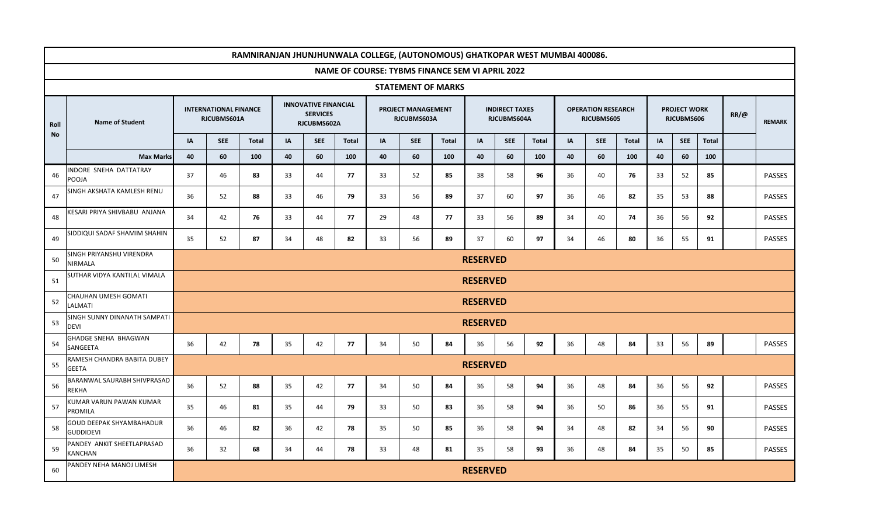|            | RAMNIRANJAN JHUNJHUNWALA COLLEGE, (AUTONOMOUS) GHATKOPAR WEST MUMBAI 400086. |                                             |                                                                                                    |              |    |                                                               |              |    |                                   |                           |                                      |            |              |                                         |            |               |    |                                   |              |             |               |
|------------|------------------------------------------------------------------------------|---------------------------------------------|----------------------------------------------------------------------------------------------------|--------------|----|---------------------------------------------------------------|--------------|----|-----------------------------------|---------------------------|--------------------------------------|------------|--------------|-----------------------------------------|------------|---------------|----|-----------------------------------|--------------|-------------|---------------|
|            | NAME OF COURSE: TYBMS FINANCE SEM VI APRIL 2022                              |                                             |                                                                                                    |              |    |                                                               |              |    |                                   |                           |                                      |            |              |                                         |            |               |    |                                   |              |             |               |
|            |                                                                              |                                             |                                                                                                    |              |    |                                                               |              |    |                                   | <b>STATEMENT OF MARKS</b> |                                      |            |              |                                         |            |               |    |                                   |              |             |               |
| Roll<br>No | <b>Name of Student</b>                                                       | <b>INTERNATIONAL FINANCE</b><br>RJCUBMS601A |                                                                                                    |              |    | <b>INNOVATIVE FINANCIAL</b><br><b>SERVICES</b><br>RJCUBMS602A |              |    | PROJECT MANAGEMENT<br>RJCUBMS603A |                           | <b>INDIRECT TAXES</b><br>RJCUBMS604A |            |              | <b>OPERATION RESEARCH</b><br>RJCUBMS605 |            |               |    | <b>PROJECT WORK</b><br>RJCUBMS606 |              | $RR/\omega$ | <b>REMARK</b> |
|            |                                                                              | IA                                          | <b>SEE</b>                                                                                         | <b>Total</b> | IA | <b>SEE</b>                                                    | <b>Total</b> | IA | <b>SEE</b>                        | Total                     | IA                                   | <b>SEE</b> | <b>Total</b> | IA                                      | <b>SEE</b> | <b>Total</b>  | IA | <b>SEE</b>                        | <b>Total</b> |             |               |
|            | <b>Max Marks</b>                                                             | 40                                          | 60                                                                                                 | 100          | 40 | 60                                                            | 100          | 40 | 60                                | 100                       | 40                                   | 60         | 100          | 40                                      | 60         | 100           | 40 | 60                                | 100          |             |               |
| 46         | INDORE SNEHA DATTATRAY<br>POOJA                                              | 37                                          | 46                                                                                                 | 83           | 33 | 44                                                            | 77           | 33 | 52                                | 85                        | 38                                   | 58         | 96           | 36                                      | 40         | 76            | 33 | 52                                | 85           |             | <b>PASSES</b> |
| 47         | SINGH AKSHATA KAMLESH RENU                                                   | 36                                          | 52                                                                                                 | 88           | 33 | 46                                                            | 79           | 33 | 56                                | 89                        | 37                                   | 60         | 97           | 36                                      | 46         | 82            | 35 | 53                                | 88           |             | <b>PASSES</b> |
| 48         | KESARI PRIYA SHIVBABU ANJANA                                                 | 34                                          | 42<br>76<br>33<br>44<br>77<br>29<br>48<br>77<br>33<br>56<br>89<br>34<br>40<br>74<br>36<br>56<br>92 |              |    |                                                               |              |    |                                   |                           |                                      |            |              |                                         |            | <b>PASSES</b> |    |                                   |              |             |               |
| 49         | SIDDIQUI SADAF SHAMIM SHAHIN                                                 | 35                                          | 52                                                                                                 | 87           | 34 | 48                                                            | 82           | 33 | 56                                | 89                        | 37                                   | 60         | 97           | 34                                      | 46         | 80            | 36 | 55                                | 91           |             | <b>PASSES</b> |
| 50         | SINGH PRIYANSHU VIRENDRA<br><b>NIRMALA</b>                                   | <b>RESERVED</b>                             |                                                                                                    |              |    |                                                               |              |    |                                   |                           |                                      |            |              |                                         |            |               |    |                                   |              |             |               |
| 51         | SUTHAR VIDYA KANTILAL VIMALA                                                 |                                             | <b>RESERVED</b>                                                                                    |              |    |                                                               |              |    |                                   |                           |                                      |            |              |                                         |            |               |    |                                   |              |             |               |
| 52         | CHAUHAN UMESH GOMATI<br>LALMATI                                              |                                             |                                                                                                    |              |    |                                                               |              |    |                                   |                           | <b>RESERVED</b>                      |            |              |                                         |            |               |    |                                   |              |             |               |
| 53         | SINGH SUNNY DINANATH SAMPATI<br><b>DEVI</b>                                  |                                             |                                                                                                    |              |    |                                                               |              |    |                                   |                           | <b>RESERVED</b>                      |            |              |                                         |            |               |    |                                   |              |             |               |
| 54         | GHADGE SNEHA BHAGWAN<br>SANGEETA                                             | 36                                          | 42                                                                                                 | 78           | 35 | 42                                                            | 77           | 34 | 50                                | 84                        | 36                                   | 56         | 92           | 36                                      | 48         | 84            | 33 | 56                                | 89           |             | <b>PASSES</b> |
| 55         | RAMESH CHANDRA BABITA DUBEY<br><b>GEETA</b>                                  |                                             |                                                                                                    |              |    |                                                               |              |    |                                   |                           | <b>RESERVED</b>                      |            |              |                                         |            |               |    |                                   |              |             |               |
| 56         | BARANWAL SAURABH SHIVPRASAD<br>REKHA                                         | 36                                          | 52                                                                                                 | 88           | 35 | 42                                                            | 77           | 34 | 50                                | 84                        | 36                                   | 58         | 94           | 36                                      | 48         | 84            | 36 | 56                                | 92           |             | <b>PASSES</b> |
| 57         | KUMAR VARUN PAWAN KUMAR<br>PROMILA                                           | 35                                          | 46                                                                                                 | 81           | 35 | 44                                                            | 79           | 33 | 50                                | 83                        | 36                                   | 58         | 94           | 36                                      | 50         | 86            | 36 | 55                                | 91           |             | <b>PASSES</b> |
| 58         | GOUD DEEPAK SHYAMBAHADUR<br><b>GUDDIDEVI</b>                                 | 36                                          | 46                                                                                                 | 82           | 36 | 42                                                            | 78           | 35 | 50                                | 85                        | 36                                   | 58         | 94           | 34                                      | 48         | 82            | 34 | 56                                | 90           |             | <b>PASSES</b> |
| 59         | PANDEY ANKIT SHEETLAPRASAD<br>KANCHAN                                        | 36                                          | 32                                                                                                 | 68           | 34 | 44                                                            | 78           | 33 | 48                                | 81                        | 35                                   | 58         | 93           | 36                                      | 48         | 84            | 35 | 50                                | 85           |             | <b>PASSES</b> |
| 60         | PANDEY NEHA MANOJ UMESH                                                      |                                             |                                                                                                    |              |    |                                                               |              |    |                                   |                           | <b>RESERVED</b>                      |            |              |                                         |            |               |    |                                   |              |             |               |